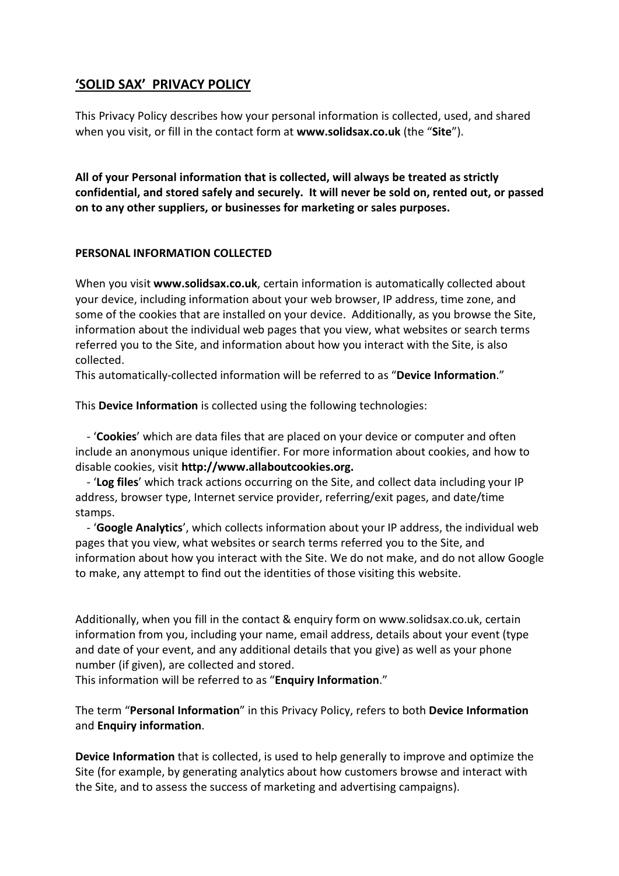# **'SOLID SAX' PRIVACY POLICY**

This Privacy Policy describes how your personal information is collected, used, and shared when you visit, or fill in the contact form at **www.solidsax.co.uk** (the "**Site**").

**All of your Personal information that is collected, will always be treated as strictly confidential, and stored safely and securely. It will never be sold on, rented out, or passed on to any other suppliers, or businesses for marketing or sales purposes.**

## **PERSONAL INFORMATION COLLECTED**

When you visit **www.solidsax.co.uk**, certain information is automatically collected about your device, including information about your web browser, IP address, time zone, and some of the cookies that are installed on your device. Additionally, as you browse the Site, information about the individual web pages that you view, what websites or search terms referred you to the Site, and information about how you interact with the Site, is also collected.

This automatically-collected information will be referred to as "**Device Information**."

This **Device Information** is collected using the following technologies:

 - '**Cookies**' which are data files that are placed on your device or computer and often include an anonymous unique identifier. For more information about cookies, and how to disable cookies, visit **http://www.allaboutcookies.org.**

 - '**Log files**' which track actions occurring on the Site, and collect data including your IP address, browser type, Internet service provider, referring/exit pages, and date/time stamps.

 - '**Google Analytics**', which collects information about your IP address, the individual web pages that you view, what websites or search terms referred you to the Site, and information about how you interact with the Site. We do not make, and do not allow Google to make, any attempt to find out the identities of those visiting this website.

Additionally, when you fill in the contact & enquiry form on www.solidsax.co.uk, certain information from you, including your name, email address, details about your event (type and date of your event, and any additional details that you give) as well as your phone number (if given), are collected and stored.

This information will be referred to as "**Enquiry Information**."

The term "**Personal Information**" in this Privacy Policy, refers to both **Device Information**  and **Enquiry information**.

**Device Information** that is collected, is used to help generally to improve and optimize the Site (for example, by generating analytics about how customers browse and interact with the Site, and to assess the success of marketing and advertising campaigns).